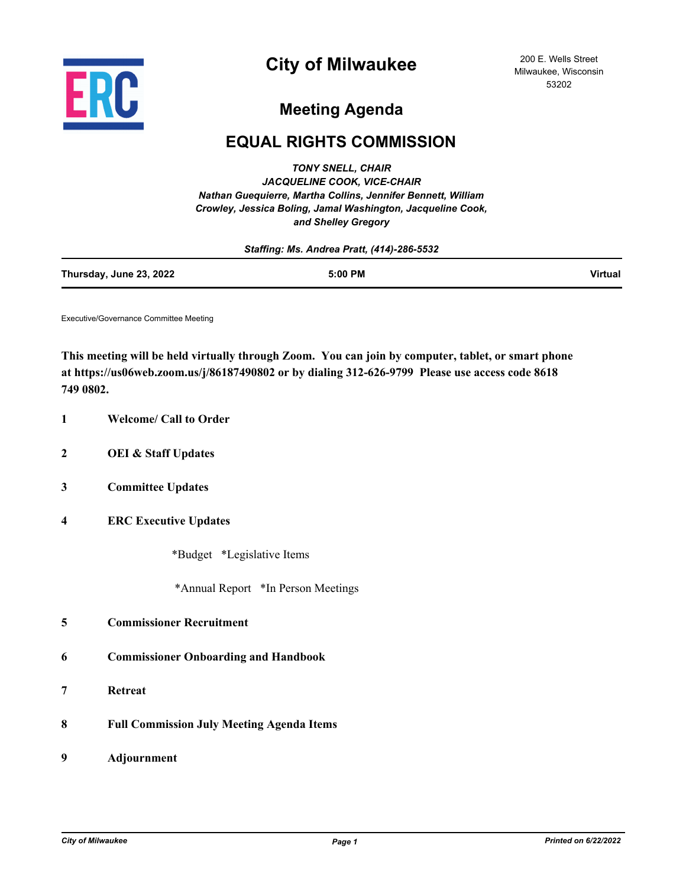

## **City of Milwaukee**

200 E. Wells Street Milwaukee, Wisconsin 53202

## **Meeting Agenda**

## **EQUAL RIGHTS COMMISSION**

*TONY SNELL, CHAIR JACQUELINE COOK, VICE-CHAIR Nathan Guequierre, Martha Collins, Jennifer Bennett, William Crowley, Jessica Boling, Jamal Washington, Jacqueline Cook, and Shelley Gregory*

| Staffing: Ms. Andrea Pratt, (414)-286-5532 |           |                |
|--------------------------------------------|-----------|----------------|
| Thursday, June 23, 2022                    | $5:00$ PM | <b>Virtual</b> |

Executive/Governance Committee Meeting

**This meeting will be held virtually through Zoom. You can join by computer, tablet, or smart phone at https://us06web.zoom.us/j/86187490802 or by dialing 312-626-9799 Please use access code 8618 749 0802.**

- **1 Welcome/ Call to Order**
- **2 OEI & Staff Updates**
- **3 Committee Updates**
- **4 ERC Executive Updates**

\*Budget \*Legislative Items

\*Annual Report \*In Person Meetings

- **5 Commissioner Recruitment**
- **6 Commissioner Onboarding and Handbook**
- **7 Retreat**
- **8 Full Commission July Meeting Agenda Items**
- **9 Adjournment**